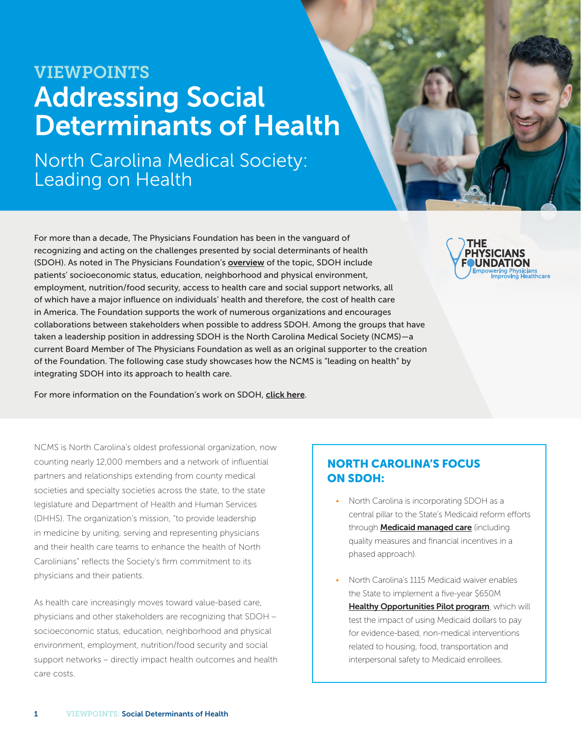# VIEWPOINTS Addressing Social Determinants of Health

North Carolina Medical Society: Leading on Health

For more than a decade, The Physicians Foundation has been in the vanguard of recognizing and acting on the challenges presented by social determinants of health (SDOH). As noted in The Physicians Foundation's [overview](https://physiciansfoundation.org/) of the topic, SDOH include patients' socioeconomic status, education, neighborhood and physical environment, employment, nutrition/food security, access to health care and social support networks, all of which have a major influence on individuals' health and therefore, the cost of health care in America. The Foundation supports the work of numerous organizations and encourages collaborations between stakeholders when possible to address SDOH. Among the groups that have taken a leadership position in addressing SDOH is the North Carolina Medical Society (NCMS)—a current Board Member of The Physicians Foundation as well as an original supporter to the creation of the Foundation. The following case study showcases how the NCMS is "leading on health" by integrating SDOH into its approach to health care.

For more information on the Foundation's work on SDOH, [click here](https://physiciansfoundation.org/wp-content/uploads/2019/08/The-Physicians-Foundation-SDOH-Viewpoints.pdf).

NCMS is North Carolina's oldest professional organization, now counting nearly 12,000 members and a network of influential partners and relationships extending from county medical societies and specialty societies across the state, to the state legislature and Department of Health and Human Services (DHHS). The organization's mission, "to provide leadership in medicine by uniting, serving and representing physicians and their health care teams to enhance the health of North Carolinians" reflects the Society's firm commitment to its physicians and their patients.

As health care increasingly moves toward value-based care, physicians and other stakeholders are recognizing that SDOH – socioeconomic status, education, neighborhood and physical environment, employment, nutrition/food security and social support networks – directly impact health outcomes and health care costs.

### NORTH CAROLINA'S FOCUS ON SDOH:

- North Carolina is incorporating SDOH as a central pillar to the State's Medicaid reform efforts through **[Medicaid managed care](https://www.kff.org/medicaid/issue-brief/a-first-look-at-north-carolinas-section-1115-medicaid-waivers-healthy-opportunities-pilots/)** (including quality measures and financial incentives in a phased approach).
- North Carolina's 1115 Medicaid waiver enables the State to implement a five-year \$650M [Healthy Opportunities Pilot program](https://www.ncdhhs.gov/about/department-initiatives/healthy-opportunities/healthy-opportunities-pilots/healthy-0), which will test the impact of using Medicaid dollars to pay for evidence-based, non-medical interventions related to housing, food, transportation and interpersonal safety to Medicaid enrollees.

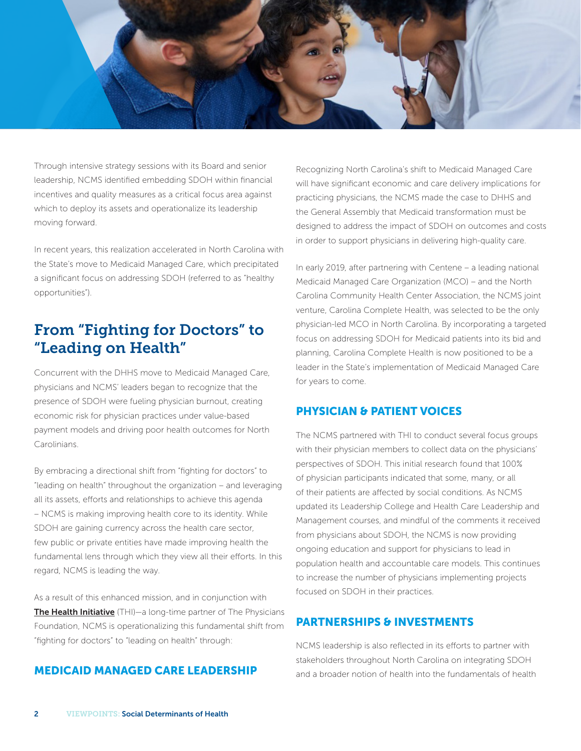

Through intensive strategy sessions with its Board and senior leadership, NCMS identified embedding SDOH within financial incentives and quality measures as a critical focus area against which to deploy its assets and operationalize its leadership moving forward.

In recent years, this realization accelerated in North Carolina with the State's move to Medicaid Managed Care, which precipitated a significant focus on addressing SDOH (referred to as "healthy opportunities").

## From "Fighting for Doctors" to "Leading on Health"

Concurrent with the DHHS move to Medicaid Managed Care, physicians and NCMS' leaders began to recognize that the presence of SDOH were fueling physician burnout, creating economic risk for physician practices under value-based payment models and driving poor health outcomes for North Carolinians.

By embracing a directional shift from "fighting for doctors" to "leading on health" throughout the organization – and leveraging all its assets, efforts and relationships to achieve this agenda – NCMS is making improving health core to its identity. While SDOH are gaining currency across the health care sector, few public or private entities have made improving health the fundamental lens through which they view all their efforts. In this regard, NCMS is leading the way.

As a result of this enhanced mission, and in conjunction with [The Health Initiative](https://healthinitiativeusa.org/) (THI)—a long-time partner of The Physicians Foundation, NCMS is operationalizing this fundamental shift from "fighting for doctors" to "leading on health" through:

#### MEDICAID MANAGED CARE LEADERSHIP

Recognizing North Carolina's shift to Medicaid Managed Care will have significant economic and care delivery implications for practicing physicians, the NCMS made the case to DHHS and the General Assembly that Medicaid transformation must be designed to address the impact of SDOH on outcomes and costs in order to support physicians in delivering high-quality care.

In early 2019, after partnering with Centene – a leading national Medicaid Managed Care Organization (MCO) – and the North Carolina Community Health Center Association, the NCMS joint venture, Carolina Complete Health, was selected to be the only physician-led MCO in North Carolina. By incorporating a targeted focus on addressing SDOH for Medicaid patients into its bid and planning, Carolina Complete Health is now positioned to be a leader in the State's implementation of Medicaid Managed Care for years to come.

#### PHYSICIAN & PATIENT VOICES

The NCMS partnered with THI to conduct several focus groups with their physician members to collect data on the physicians' perspectives of SDOH. This initial research found that 100% of physician participants indicated that some, many, or all of their patients are affected by social conditions. As NCMS updated its Leadership College and Health Care Leadership and Management courses, and mindful of the comments it received from physicians about SDOH, the NCMS is now providing ongoing education and support for physicians to lead in population health and accountable care models. This continues to increase the number of physicians implementing projects focused on SDOH in their practices.

#### PARTNERSHIPS & INVESTMENTS

NCMS leadership is also reflected in its efforts to partner with stakeholders throughout North Carolina on integrating SDOH and a broader notion of health into the fundamentals of health